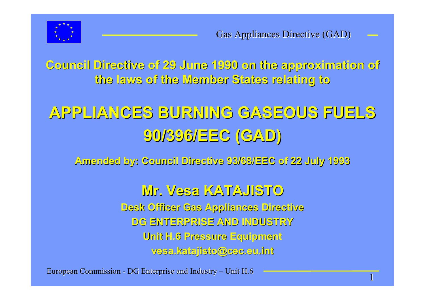

**Council Directive of 29 June 1990 on the approximation of Council Directive of 29 June 1990 on the approximation of the laws of the Member States relating to the laws of the Member States relating to**

# **APPLIANCES BURNING GASEOUS FUELS APPLIANCES BURNING GASEOUS FUELS 90/396/EEC (GAD) 90/396/EEC (GAD)**

**Amended by: Council Directive 93/68/EEC of 22 July 1993 Amended by: Council Directive 93/68/EEC of 22 July 1993**

**Mr. Vesa KATAJISTO KATAJISTO Desk Officer Gas Appliances Directive Desk Officer Gas Appliances Directive DG ENTERPRISE AND INDUSTRY DG ENTERPRISE AND INDUSTRYUnit H.6 Pressure Equipment Unit H.6 Pressure Equipment vesa.katajisto@cec.eu.int vesa.katajisto@cec.eu.int**

European Commission - DG Enterprise and Industry – Unit H.6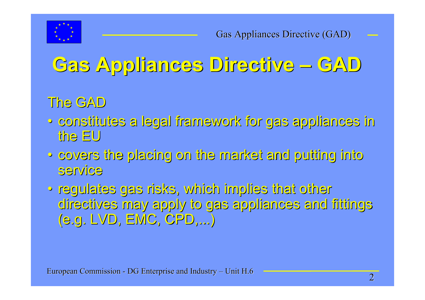

# **Gas Appliances Directive Gas Appliances Directive – GAD**

#### The GAD

- constitutes a legal framework for gas appliances in constitutes a legal framework for gas appliances in the EU
- covers the placing on the market and putting into covers the placing on the market and putting into service service
- regulates gas risks, which implies that other regulates gas risks, which implies that other directives may apply to gas appliances and fittings directives may apply to gas appliances and fittings (e.g. LVD, EMC, CPD,...)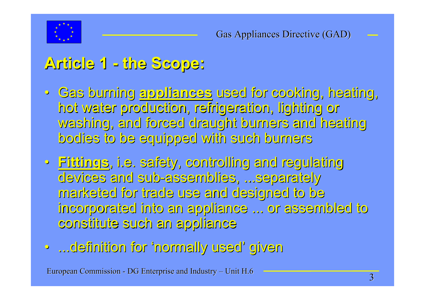

#### **Article 1 Article 1 - the Scope: the Scope:**

- Gas burning Gas burning **appliances appliances** used for cooking, heating, used for cooking, heating, hot water production, refrigeration, lighting or hot water production, refrigeration, lighting or washing, and forced draught burners and heating washing, and forced draught burners and heating bodies to be equipped with such burners bodies to be equipped with such burners
- **Fittings Fittings**, i.e. safety, controlling and regulating , i.e. safety, controlling and regulating devices and sub-assemblies, ...separately marketed for trade use and designed to be marketed for trade use and designed to be incorporated into an appliance ... or assembled to incorporated into an appliance ... or assembled to constitute such an appliance constitute such an appliance
- ...definition for ...definition for 'normally used normally used' given

European Commission - DG Enterprise and Industry – Unit H.6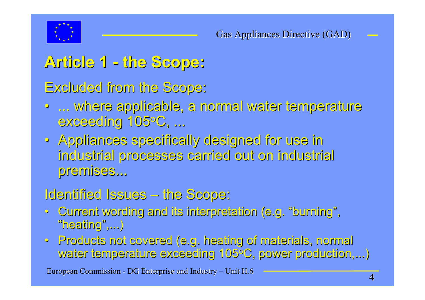

### **Article 1 Article 1 - the Scope: the Scope:**

Excluded from the Scope: Excluded from the Scope:

- ... where applicable, a normal water temperature ... where applicable, a normal water temperature exceeding 105°C, ...
- Appliances specifically designed for use in Appliances specifically designed for use in industrial processes carried out on industrial industrial processes carried out on industrial premises...

#### Identified Issues – the Scope:

- Current wording and its interpretation (e.g. Current wording and its interpretation (e.g. "burning burning", "heating heating",...)
- Products not covered (e.g. heating of materials, normal Products not covered (e.g. heating of materials, normal water temperature exceeding 105°C, power production,...)

European Commission - DG Enterprise and Industry – Unit H.6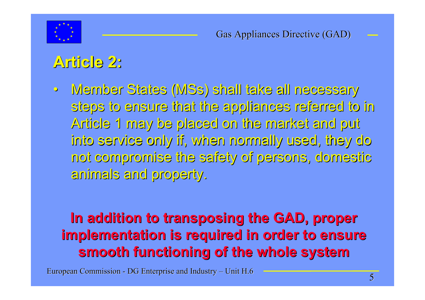

## **Article 2: Article 2:**

 $\bullet$  Member States ( Member States (MSs) shall take all necessary ) shall take all necessary steps to ensure that the appliances referred to in steps to ensure that the appliances referred to in Article 1 may be placed on the market and put Article 1 may be placed on the market and put into service only if, when normally used, they do into service only if, when normally used, they do not compromise the safety of persons, domestic not compromise the safety of persons, domestic animals and property. animals and property.

#### **In addition to transposing the GAD, proper implementation is required in order to ensure smooth functioning of the whole system smooth functioning of the whole system**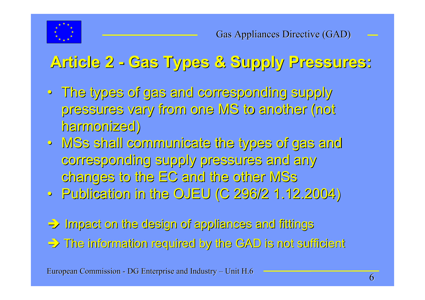

## **Article 2 Article 2 - Gas Types & Supply Pressures: Gas Types & Supply Pressures:**

- The types of gas and corresponding supply The types of gas and corresponding supply pressures vary from one MS to another (not pressures vary from one MS to another (not harmonized) harmonized)
- MSs shall communicate the types of gas and corresponding supply pressures and any corresponding supply pressures and any changes to the EC and the other MSs
- Publication in the OJEU (C 296/2 1.12.2004) Publication in the OJEU (C 296/2 1.12.2004)

 $\Rightarrow$  Impact on the design of appliances and fittings

 $\Rightarrow$  The information required by the GAD is not sufficient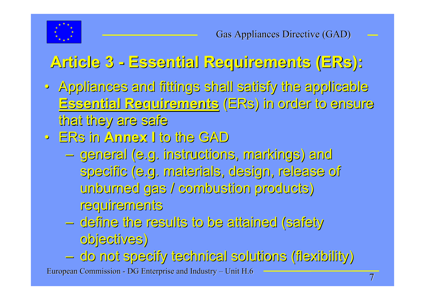

# **Article 3 Article 3 - Essential Requirements ( Essential Requirements (ERs):**

- Appliances and fittings shall satisfy the applicable Appliances and fittings shall satisfy the applicable **Essential Requirements Essential Requirements** (ERs) in order to ensure ) in order to ensure that they are safe
- ERs in **Annex I Annex I** to the GAD to the GAD
	- general (e.g. instructions, markings) and general (e.g. instructions, markings) and specific (e.g. materials, design, release of unburned gas / combustion products) unburned gas / combustion products) requirements requirements
	- define the results to be attained (safety  $\,$ objectives) objectives)
- European Commission DG Enterprise and Industry Unit H.6 do not specify technical solutions (flexibility) do not specify technical solutions (flexibility)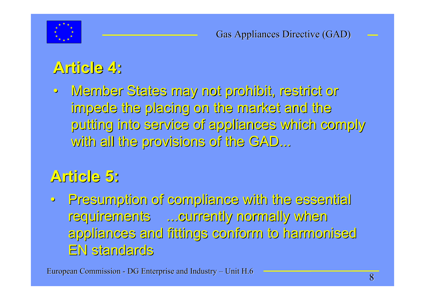

## **Article 4: Article 4:**

 $\bullet$  Member States may not prohibit, restrict or Member States may not prohibit, restrict or impede the placing on the market and the impede the placing on the market and the putting into service of appliances which comply putting into service of appliances which comply with all the provisions of the GAD...

#### **Article 5: Article 5:**

• Presumption of compliance with the essential Presumption of compliance with the essential requirements ...currently normally when requirements ...currently normally when appliances and fittings conform to harmonised appliances and fittings conform to harmonised EN standards EN standards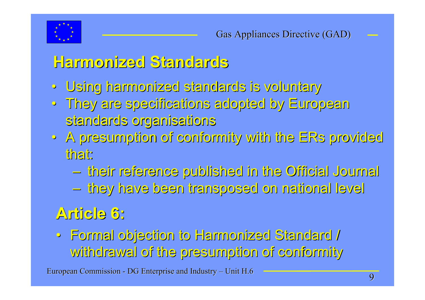

#### **Harmonized Standards Harmonized Standards**

- Using harmonized standards is voluntary
- They are specifications adopted by European They are specifications adopted by European standards organisations
- $\bullet\,$  A presumption of conformity with the ERs provided that:
	- their reference published in the Official Journal their reference published in the Official Journal
	- they have been transposed on national level they have been transposed on national level

#### **Article 6: Article 6:**

• Formal objection to Harmonized Standard / Formal objection to Harmonized Standard / withdrawal of the presumption of conformity withdrawal of the presumption of conformity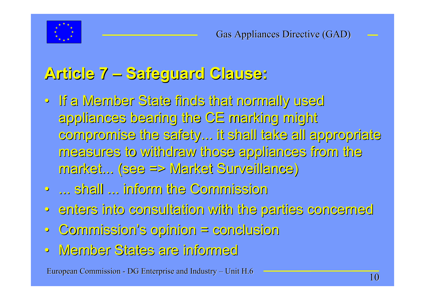

### **Article 7 Article 7 – Safeguard Clause: Safeguard Clause:**

- If a Member State finds that normally used If a Member State finds that normally used appliances bearing the CE marking might appliances bearing the CE marking might compromise the safety... it shall take all appropriate compromise the safety... it shall take all appropriate measures to withdraw those appliances from the measures to withdraw those appliances from the market... (see => Market Surveillance) market... (see => Market Surveillance)
- ... shall ... inform the Commission ... shall ... inform the Commission
- enters into consultation with the parties concerned enters into consultation with the parties concerned
- $\bigcirc$ Commission Commission's opinion = conclusion s opinion = conclusion
- Member States are informed Member States are informed

European Commission - DG Enterprise and Industry – Unit H.6 10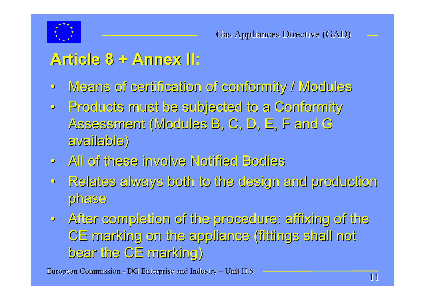

#### **Article 8 + Annex II: Article 8 + Annex II:**

- $\ddot{\mathbf{o}}$ Means of certification of conformity / Modules Means of certification of conformity / Modules
- $\bullet$  Products must be subjected to a Conformity Products must be subjected to a Conformity Assessment (Modules B, C, D, E, F and G available) available)
- All of these involve Notified Bodies All of these involve Notified Bodies
- $\bullet$  Relates always both to the design and production Relates always both to the design and production phase
- After completion of the procedure: affixing of the After completion of the procedure: affixing of the CE marking on the appliance (fittings shall not CE marking on the appliance (fittings shall not bear the CE marking) bear the CE marking)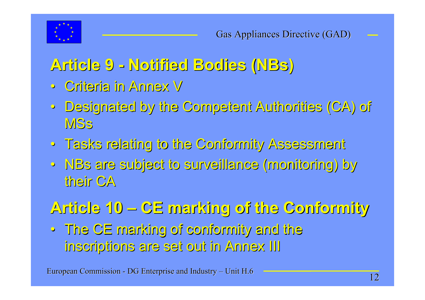

#### **Article 9 Article 9 - Notified Bodies ( Notified Bodies (NBs)**

- Criteria in Annex V Criteria in Annex V
- Designated by the Competent Authorities (CA) of Designated by the Competent Authorities (CA) of **MSs**
- Tasks relating to the Conformity Assessment Tasks relating to the Conformity Assessment
- NBs are subject to surveillance (monitoring) by are subject to surveillance (monitoring) by their CA

# **Article 10 Article 10 – CE marking of the Conformity CE marking of the Conformity**

• The CE marking of conformity and the The CE marking of conformity and the inscriptions are set out in Annex III inscriptions are set out in Annex III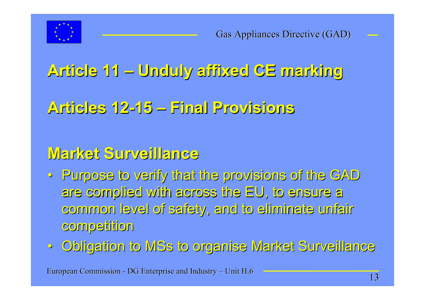

## **Article 11 Article 11 – Unduly affixed CE marking Unduly affixed CE marking**

#### **Articles 12 Articles 12-15 – Final Provisions Final Provisions**

#### **Market Surveillance Market Surveillance**

- Purpose to verify that the provisions of the GAD Purpose to verify that the provisions of the GAD are complied with across the EU, to ensure a are complied with across the EU, to ensure a common level of safety, and to eliminate unfair common level of safety, and to eliminate unfair competition competition
- Obligation to Obligation to MSs to organise Market Surveillance to organise Market Surveillance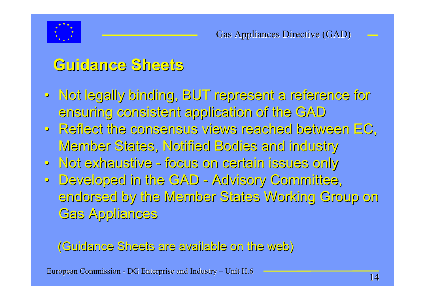

#### **Guidance Sheets Guidance Sheets**

- Not legally binding, BUT represent a reference for ensuring consistent application of the GAD ensuring consistent application of the GAD
- Reflect the consensus views reached between EC, Reflect the consensus views reached between EC, Member States, Notified Bodies and industry
- Not exhaustive Not exhaustive focus on certain issues only focus on certain issues only
- Developed in the GAD Advisory Committee, endorsed by the Member States Working Group on endorsed by the Member States Working Group on Gas Appliances

#### (Guidance Sheets are available on the web) (Guidance Sheets are available on the web)